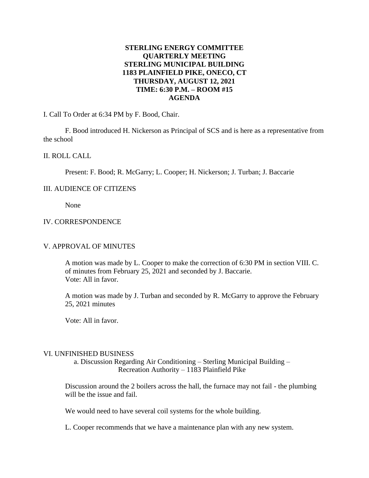## **STERLING ENERGY COMMITTEE QUARTERLY MEETING STERLING MUNICIPAL BUILDING 1183 PLAINFIELD PIKE, ONECO, CT THURSDAY, AUGUST 12, 2021 TIME: 6:30 P.M. – ROOM #15 AGENDA**

I. Call To Order at 6:34 PM by F. Bood, Chair.

F. Bood introduced H. Nickerson as Principal of SCS and is here as a representative from the school

## II. ROLL CALL

Present: F. Bood; R. McGarry; L. Cooper; H. Nickerson; J. Turban; J. Baccarie

## III. AUDIENCE OF CITIZENS

None

## IV. CORRESPONDENCE

#### V. APPROVAL OF MINUTES

A motion was made by L. Cooper to make the correction of 6:30 PM in section VIII. C. of minutes from February 25, 2021 and seconded by J. Baccarie. Vote: All in favor.

A motion was made by J. Turban and seconded by R. McGarry to approve the February 25, 2021 minutes

Vote: All in favor.

#### VI. UNFINISHED BUSINESS

a. Discussion Regarding Air Conditioning – Sterling Municipal Building – Recreation Authority – 1183 Plainfield Pike

Discussion around the 2 boilers across the hall, the furnace may not fail - the plumbing will be the issue and fail.

We would need to have several coil systems for the whole building.

L. Cooper recommends that we have a maintenance plan with any new system.